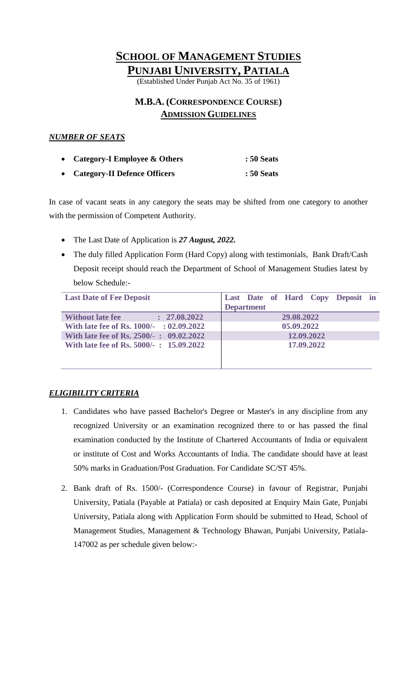# **SCHOOL OF MANAGEMENT STUDIES**

**PUNJABI UNIVERSITY, PATIALA**

(Established Under Punjab Act No. 35 of 1961)

# **M.B.A. (CORRESPONDENCE COURSE) ADMISSION GUIDELINES**

## *NUMBER OF SEATS*

| • Category-I Employee $&$ Others | <b>: 50 Seats</b> |
|----------------------------------|-------------------|
| • Category-II Defence Officers   | <b>: 50 Seats</b> |

In case of vacant seats in any category the seats may be shifted from one category to another with the permission of Competent Authority.

- The Last Date of Application is *27 August, 2022.*
- The duly filled Application Form (Hard Copy) along with testimonials, Bank Draft/Cash Deposit receipt should reach the Department of School of Management Studies latest by below Schedule:-

| <b>Last Date of Fee Deposit</b>          | Last Date of Hard Copy Deposit in |  |
|------------------------------------------|-----------------------------------|--|
|                                          | <b>Department</b>                 |  |
| <b>Without late fee</b><br>: 27.08.2022  | 29.08.2022                        |  |
| With late fee of Rs. 1000/- : 02.09.2022 | 05.09.2022                        |  |
| With late fee of Rs. 2500/-: 09.02.2022  | 12.09.2022                        |  |
| With late fee of Rs. 5000/-: 15.09.2022  | 17,09.2022                        |  |
|                                          |                                   |  |
|                                          |                                   |  |

## *ELIGIBILITY CRITERIA*

- 1. Candidates who have passed Bachelor's Degree or Master's in any discipline from any recognized University or an examination recognized there to or has passed the final examination conducted by the Institute of Chartered Accountants of India or equivalent or institute of Cost and Works Accountants of India. The candidate should have at least 50% marks in Graduation/Post Graduation. For Candidate SC/ST 45%.
- 2. Bank draft of Rs. 1500/- (Correspondence Course) in favour of Registrar, Punjabi University, Patiala (Payable at Patiala) or cash deposited at Enquiry Main Gate, Punjabi University, Patiala along with Application Form should be submitted to Head, School of Management Studies, Management & Technology Bhawan, Punjabi University, Patiala-147002 as per schedule given below:-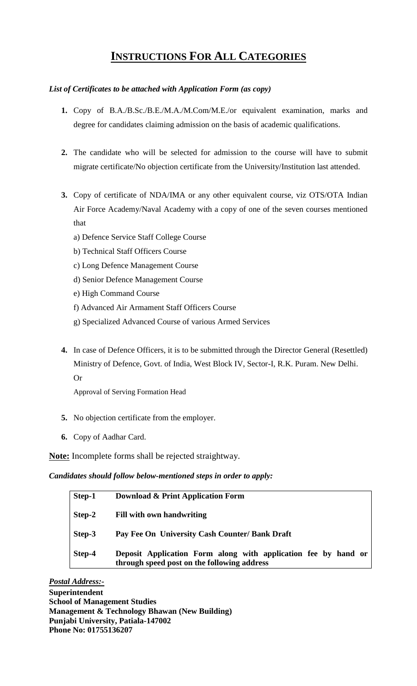# **INSTRUCTIONS FOR ALL CATEGORIES**

## *List of Certificates to be attached with Application Form (as copy)*

- **1.** Copy of B.A./B.Sc./B.E./M.A./M.Com/M.E./or equivalent examination, marks and degree for candidates claiming admission on the basis of academic qualifications.
- **2.** The candidate who will be selected for admission to the course will have to submit migrate certificate/No objection certificate from the University/Institution last attended.
- **3.** Copy of certificate of NDA/IMA or any other equivalent course, viz OTS/OTA Indian Air Force Academy/Naval Academy with a copy of one of the seven courses mentioned that
	- a) Defence Service Staff College Course
	- b) Technical Staff Officers Course
	- c) Long Defence Management Course
	- d) Senior Defence Management Course
	- e) High Command Course
	- f) Advanced Air Armament Staff Officers Course
	- g) Specialized Advanced Course of various Armed Services
- **4.** In case of Defence Officers, it is to be submitted through the Director General (Resettled) Ministry of Defence, Govt. of India, West Block IV, Sector-I, R.K. Puram. New Delhi. Or

Approval of Serving Formation Head

- **5.** No objection certificate from the employer.
- **6.** Copy of Aadhar Card.

**Note:** Incomplete forms shall be rejected straightway.

*Candidates should follow below-mentioned steps in order to apply:*

| Step-1 | <b>Download &amp; Print Application Form</b>                                                                  |
|--------|---------------------------------------------------------------------------------------------------------------|
| Step-2 | Fill with own handwriting                                                                                     |
| Step-3 | Pay Fee On University Cash Counter/ Bank Draft                                                                |
| Step-4 | Deposit Application Form along with application fee by hand or<br>through speed post on the following address |

*Postal Address:-* **Superintendent School of Management Studies Management & Technology Bhawan (New Building) Punjabi University, Patiala-147002 Phone No: 01755136207**